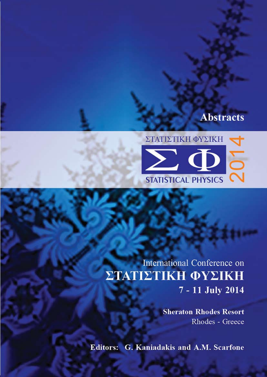## **Abstracts**



International Conference on ΣΤΑΤΙΣΤΙΚΗ ΦΥΣΙΚΗ 7 - 11 July 2014

> **Sheraton Rhodes Resort** Rhodes - Greece

**Editors: G. Kaniadakis and A.M. Scarfone**